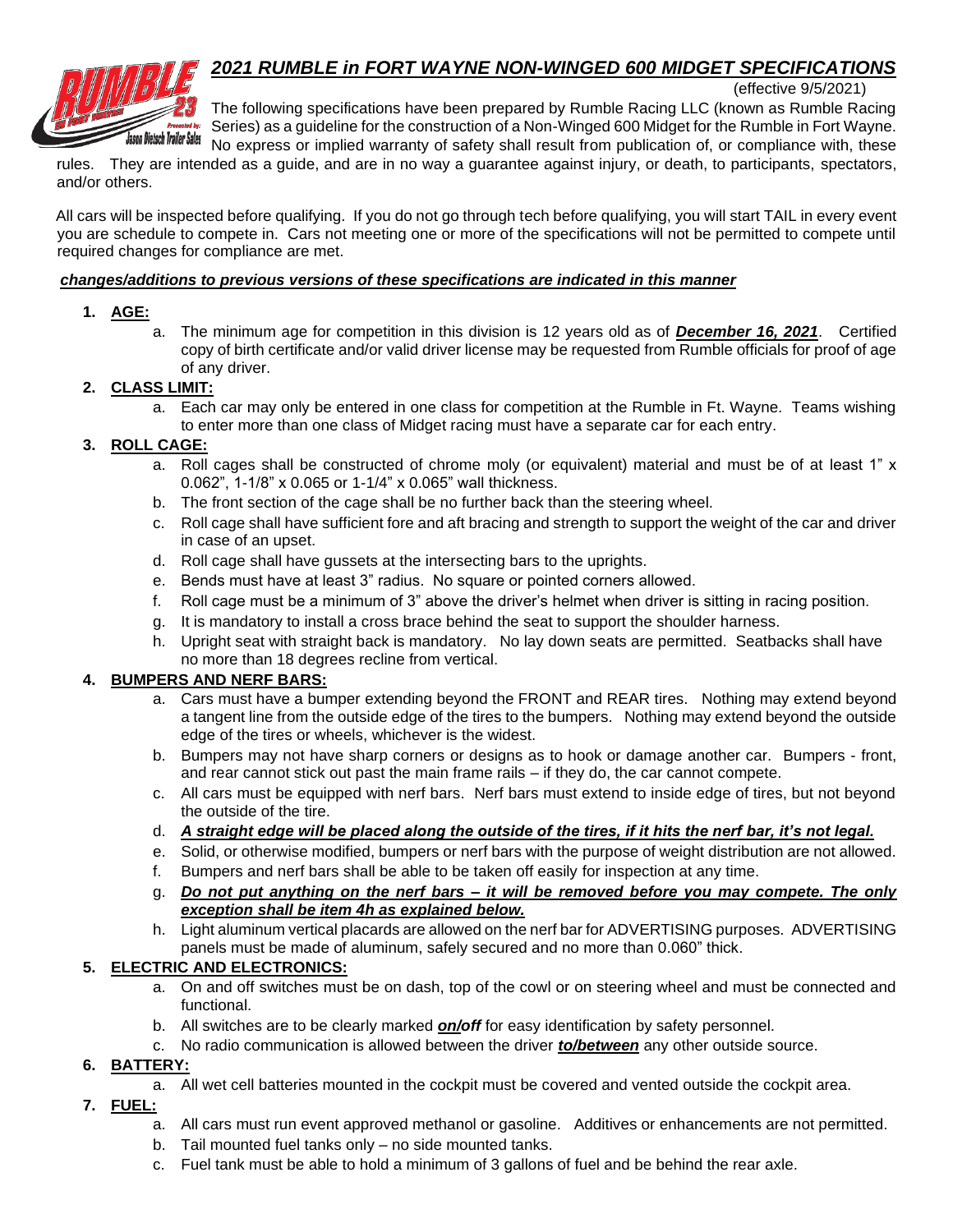# *2021 RUMBLE in FORT WAYNE NON-WINGED 600 MIDGET SPECIFICATIONS*



(effective 9/5/2021)

The following specifications have been prepared by Rumble Racing LLC (known as Rumble Racing Series) as a guideline for the construction of a Non-Winged 600 Midget for the Rumble in Fort Wayne. No express or implied warranty of safety shall result from publication of, or compliance with, these

rules. They are intended as a guide, and are in no way a guarantee against injury, or death, to participants, spectators, and/or others.

All cars will be inspected before qualifying. If you do not go through tech before qualifying, you will start TAIL in every event you are schedule to compete in. Cars not meeting one or more of the specifications will not be permitted to compete until required changes for compliance are met.

#### *changes/additions to previous versions of these specifications are indicated in this manner*

# **1. AGE:**

a. The minimum age for competition in this division is 12 years old as of *December 16, 2021*. Certified copy of birth certificate and/or valid driver license may be requested from Rumble officials for proof of age of any driver.

# **2. CLASS LIMIT:**

a. Each car may only be entered in one class for competition at the Rumble in Ft. Wayne. Teams wishing to enter more than one class of Midget racing must have a separate car for each entry.

# **3. ROLL CAGE:**

- a. Roll cages shall be constructed of chrome moly (or equivalent) material and must be of at least 1" x 0.062", 1-1/8" x 0.065 or 1-1/4" x 0.065" wall thickness.
- b. The front section of the cage shall be no further back than the steering wheel.
- c. Roll cage shall have sufficient fore and aft bracing and strength to support the weight of the car and driver in case of an upset.
- d. Roll cage shall have gussets at the intersecting bars to the uprights.
- e. Bends must have at least 3" radius. No square or pointed corners allowed.
- f. Roll cage must be a minimum of 3" above the driver's helmet when driver is sitting in racing position.
- g. It is mandatory to install a cross brace behind the seat to support the shoulder harness.
- h. Upright seat with straight back is mandatory. No lay down seats are permitted. Seatbacks shall have no more than 18 degrees recline from vertical.

# **4. BUMPERS AND NERF BARS:**

- a. Cars must have a bumper extending beyond the FRONT and REAR tires. Nothing may extend beyond a tangent line from the outside edge of the tires to the bumpers. Nothing may extend beyond the outside edge of the tires or wheels, whichever is the widest.
- b. Bumpers may not have sharp corners or designs as to hook or damage another car. Bumpers front, and rear cannot stick out past the main frame rails – if they do, the car cannot compete.
- c. All cars must be equipped with nerf bars. Nerf bars must extend to inside edge of tires, but not beyond the outside of the tire.
- d. *A straight edge will be placed along the outside of the tires, if it hits the nerf bar, it's not legal.*
- e. Solid, or otherwise modified, bumpers or nerf bars with the purpose of weight distribution are not allowed.
- f. Bumpers and nerf bars shall be able to be taken off easily for inspection at any time.
- g. *Do not put anything on the nerf bars – it will be removed before you may compete. The only exception shall be item 4h as explained below.*
- h. Light aluminum vertical placards are allowed on the nerf bar for ADVERTISING purposes. ADVERTISING panels must be made of aluminum, safely secured and no more than 0.060" thick.

# **5. ELECTRIC AND ELECTRONICS:**

- a. On and off switches must be on dash, top of the cowl or on steering wheel and must be connected and functional.
- b. All switches are to be clearly marked *on/off* for easy identification by safety personnel.
- c. No radio communication is allowed between the driver *to/between* any other outside source.

# **6. BATTERY:**

- a. All wet cell batteries mounted in the cockpit must be covered and vented outside the cockpit area.
- **7. FUEL:**
	- a. All cars must run event approved methanol or gasoline. Additives or enhancements are not permitted.
	- b. Tail mounted fuel tanks only no side mounted tanks.
	- c. Fuel tank must be able to hold a minimum of 3 gallons of fuel and be behind the rear axle.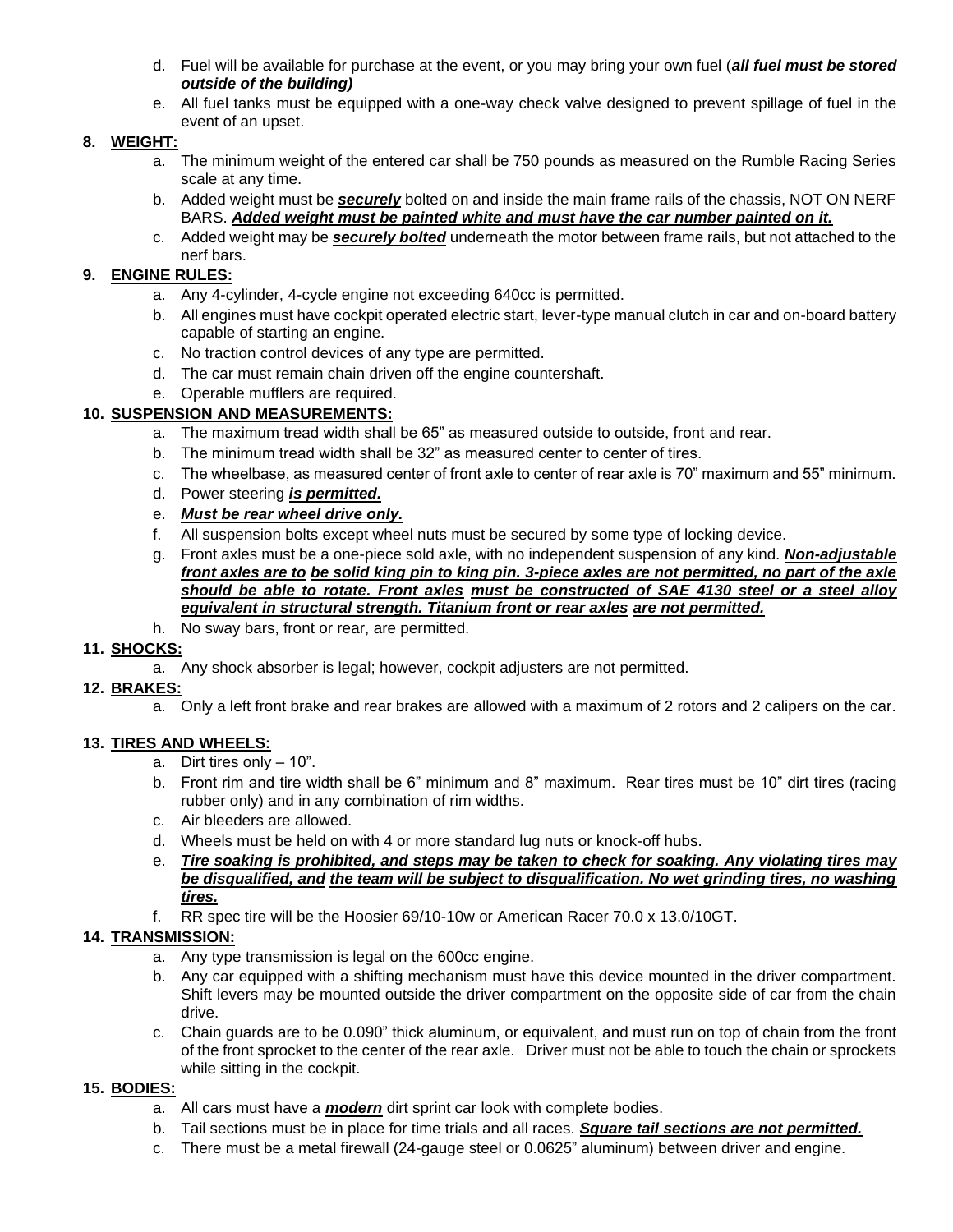- d. Fuel will be available for purchase at the event, or you may bring your own fuel (*all fuel must be stored outside of the building)*
- e. All fuel tanks must be equipped with a one-way check valve designed to prevent spillage of fuel in the event of an upset.

#### **8. WEIGHT:**

- a. The minimum weight of the entered car shall be 750 pounds as measured on the Rumble Racing Series scale at any time.
- b. Added weight must be *securely* bolted on and inside the main frame rails of the chassis, NOT ON NERF BARS. *Added weight must be painted white and must have the car number painted on it.*
- c. Added weight may be *securely bolted* underneath the motor between frame rails, but not attached to the nerf bars.

# **9. ENGINE RULES:**

- a. Any 4-cylinder, 4-cycle engine not exceeding 640cc is permitted.
- b. All engines must have cockpit operated electric start, lever-type manual clutch in car and on-board battery capable of starting an engine.
- c. No traction control devices of any type are permitted.
- d. The car must remain chain driven off the engine countershaft.
- e. Operable mufflers are required.

# **10. SUSPENSION AND MEASUREMENTS:**

- a. The maximum tread width shall be 65" as measured outside to outside, front and rear.
- b. The minimum tread width shall be 32" as measured center to center of tires.
- c. The wheelbase, as measured center of front axle to center of rear axle is 70" maximum and 55" minimum.
- d. Power steering *is permitted.*
- e. *Must be rear wheel drive only.*
- f. All suspension bolts except wheel nuts must be secured by some type of locking device.
- g. Front axles must be a one-piece sold axle, with no independent suspension of any kind. *Non-adjustable front axles are to be solid king pin to king pin. 3-piece axles are not permitted, no part of the axle should be able to rotate. Front axles must be constructed of SAE 4130 steel or a steel alloy equivalent in structural strength. Titanium front or rear axles are not permitted.*
- h. No sway bars, front or rear, are permitted.

# **11. SHOCKS:**

a. Any shock absorber is legal; however, cockpit adjusters are not permitted.

#### **12. BRAKES:**

a. Only a left front brake and rear brakes are allowed with a maximum of 2 rotors and 2 calipers on the car.

#### **13. TIRES AND WHEELS:**

- a. Dirt tires only 10".
- b. Front rim and tire width shall be 6" minimum and 8" maximum. Rear tires must be 10" dirt tires (racing rubber only) and in any combination of rim widths.
- c. Air bleeders are allowed.
- d. Wheels must be held on with 4 or more standard lug nuts or knock-off hubs.
- e. *Tire soaking is prohibited, and steps may be taken to check for soaking. Any violating tires may be disqualified, and the team will be subject to disqualification. No wet grinding tires, no washing tires.*
- f. RR spec tire will be the Hoosier 69/10-10w or American Racer 70.0 x 13.0/10GT.

# **14. TRANSMISSION:**

- a. Any type transmission is legal on the 600cc engine.
- b. Any car equipped with a shifting mechanism must have this device mounted in the driver compartment. Shift levers may be mounted outside the driver compartment on the opposite side of car from the chain drive.
- c. Chain guards are to be 0.090" thick aluminum, or equivalent, and must run on top of chain from the front of the front sprocket to the center of the rear axle. Driver must not be able to touch the chain or sprockets while sitting in the cockpit.

#### **15. BODIES:**

- a. All cars must have a *modern* dirt sprint car look with complete bodies.
- b. Tail sections must be in place for time trials and all races. *Square tail sections are not permitted.*
- c. There must be a metal firewall (24-gauge steel or 0.0625" aluminum) between driver and engine.